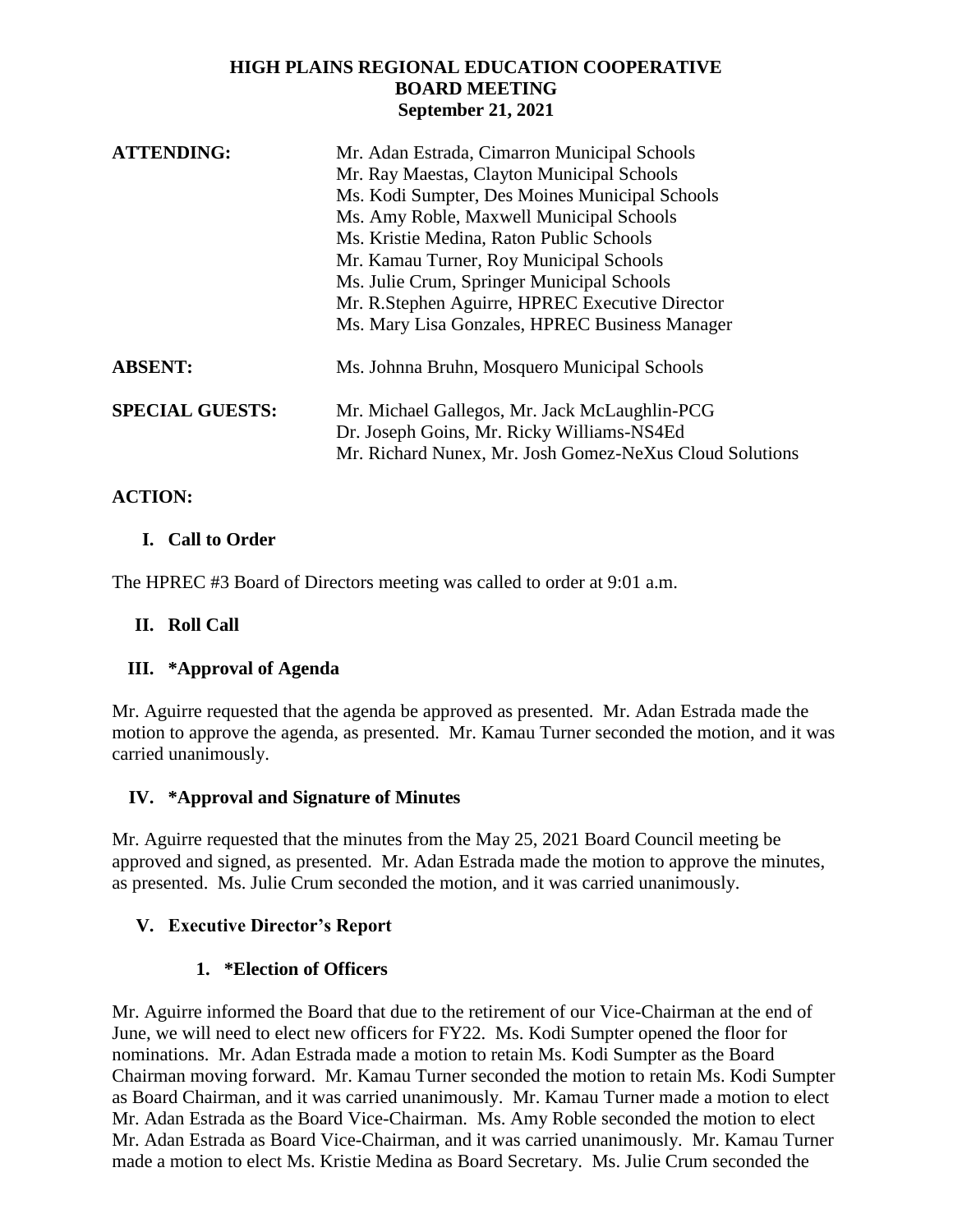## **HIGH PLAINS REGIONAL EDUCATION COOPERATIVE BOARD MEETING September 21, 2021**

| <b>ATTENDING:</b>      | Mr. Adan Estrada, Cimarron Municipal Schools                                                |
|------------------------|---------------------------------------------------------------------------------------------|
|                        | Mr. Ray Maestas, Clayton Municipal Schools                                                  |
|                        | Ms. Kodi Sumpter, Des Moines Municipal Schools                                              |
|                        | Ms. Amy Roble, Maxwell Municipal Schools                                                    |
|                        | Ms. Kristie Medina, Raton Public Schools                                                    |
|                        | Mr. Kamau Turner, Roy Municipal Schools                                                     |
|                        | Ms. Julie Crum, Springer Municipal Schools                                                  |
|                        | Mr. R.Stephen Aguirre, HPREC Executive Director                                             |
|                        | Ms. Mary Lisa Gonzales, HPREC Business Manager                                              |
| <b>ABSENT:</b>         | Ms. Johnna Bruhn, Mosquero Municipal Schools                                                |
| <b>SPECIAL GUESTS:</b> | Mr. Michael Gallegos, Mr. Jack McLaughlin-PCG<br>Dr. Joseph Goins, Mr. Ricky Williams-NS4Ed |
|                        | Mr. Richard Nunex, Mr. Josh Gomez-NeXus Cloud Solutions                                     |

## **ACTION:**

## **I. Call to Order**

The HPREC #3 Board of Directors meeting was called to order at 9:01 a.m.

## **II. Roll Call**

## **III. \*Approval of Agenda**

Mr. Aguirre requested that the agenda be approved as presented. Mr. Adan Estrada made the motion to approve the agenda, as presented. Mr. Kamau Turner seconded the motion, and it was carried unanimously.

## **IV. \*Approval and Signature of Minutes**

Mr. Aguirre requested that the minutes from the May 25, 2021 Board Council meeting be approved and signed, as presented. Mr. Adan Estrada made the motion to approve the minutes, as presented. Ms. Julie Crum seconded the motion, and it was carried unanimously.

## **V. Executive Director's Report**

## **1. \*Election of Officers**

Mr. Aguirre informed the Board that due to the retirement of our Vice-Chairman at the end of June, we will need to elect new officers for FY22. Ms. Kodi Sumpter opened the floor for nominations. Mr. Adan Estrada made a motion to retain Ms. Kodi Sumpter as the Board Chairman moving forward. Mr. Kamau Turner seconded the motion to retain Ms. Kodi Sumpter as Board Chairman, and it was carried unanimously. Mr. Kamau Turner made a motion to elect Mr. Adan Estrada as the Board Vice-Chairman. Ms. Amy Roble seconded the motion to elect Mr. Adan Estrada as Board Vice-Chairman, and it was carried unanimously. Mr. Kamau Turner made a motion to elect Ms. Kristie Medina as Board Secretary. Ms. Julie Crum seconded the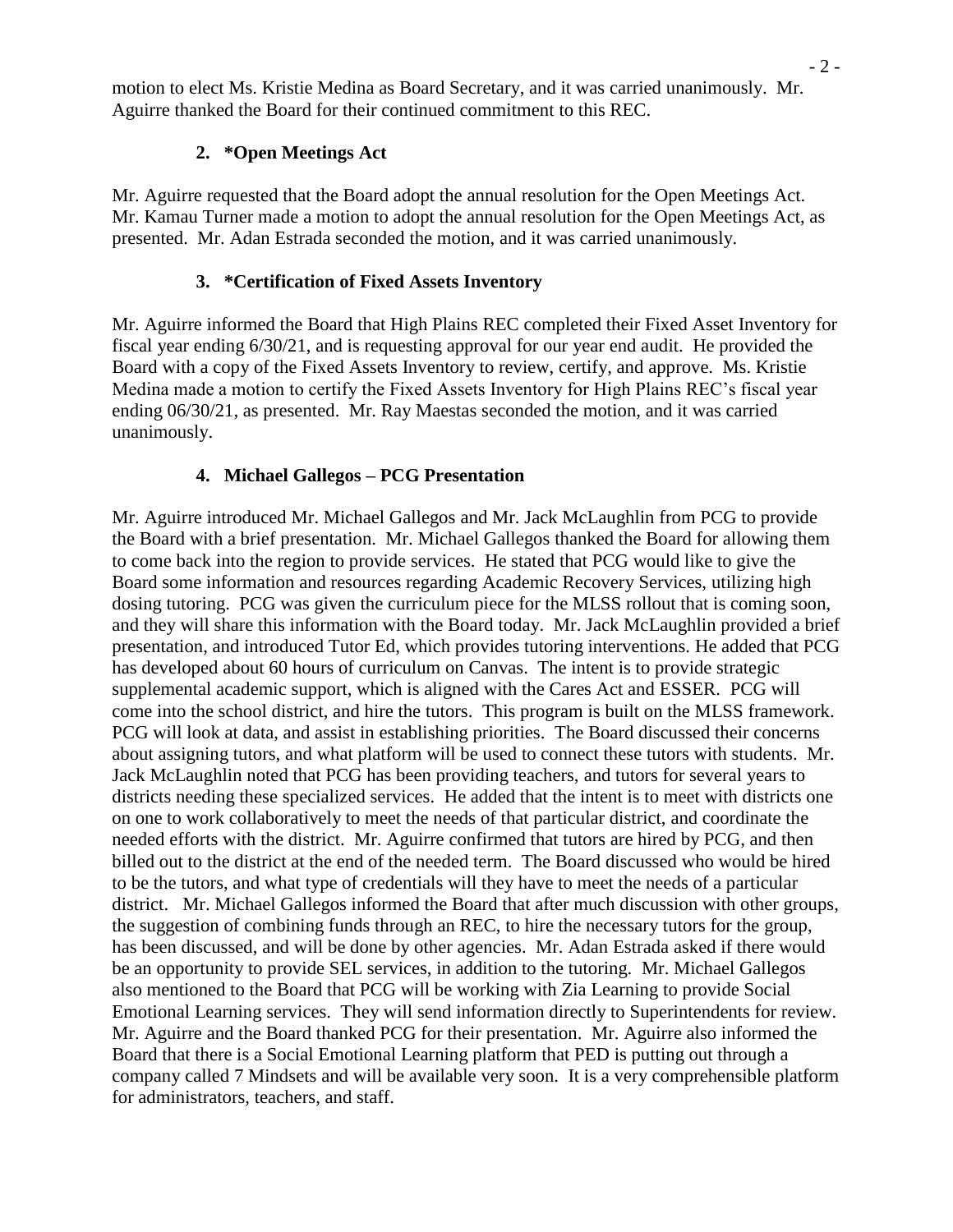motion to elect Ms. Kristie Medina as Board Secretary, and it was carried unanimously. Mr. Aguirre thanked the Board for their continued commitment to this REC.

## **2. \*Open Meetings Act**

Mr. Aguirre requested that the Board adopt the annual resolution for the Open Meetings Act. Mr. Kamau Turner made a motion to adopt the annual resolution for the Open Meetings Act, as presented. Mr. Adan Estrada seconded the motion, and it was carried unanimously.

## **3. \*Certification of Fixed Assets Inventory**

Mr. Aguirre informed the Board that High Plains REC completed their Fixed Asset Inventory for fiscal year ending 6/30/21, and is requesting approval for our year end audit. He provided the Board with a copy of the Fixed Assets Inventory to review, certify, and approve. Ms. Kristie Medina made a motion to certify the Fixed Assets Inventory for High Plains REC's fiscal year ending 06/30/21, as presented. Mr. Ray Maestas seconded the motion, and it was carried unanimously.

# **4. Michael Gallegos – PCG Presentation**

Mr. Aguirre introduced Mr. Michael Gallegos and Mr. Jack McLaughlin from PCG to provide the Board with a brief presentation. Mr. Michael Gallegos thanked the Board for allowing them to come back into the region to provide services. He stated that PCG would like to give the Board some information and resources regarding Academic Recovery Services, utilizing high dosing tutoring. PCG was given the curriculum piece for the MLSS rollout that is coming soon, and they will share this information with the Board today. Mr. Jack McLaughlin provided a brief presentation, and introduced Tutor Ed, which provides tutoring interventions. He added that PCG has developed about 60 hours of curriculum on Canvas. The intent is to provide strategic supplemental academic support, which is aligned with the Cares Act and ESSER. PCG will come into the school district, and hire the tutors. This program is built on the MLSS framework. PCG will look at data, and assist in establishing priorities. The Board discussed their concerns about assigning tutors, and what platform will be used to connect these tutors with students. Mr. Jack McLaughlin noted that PCG has been providing teachers, and tutors for several years to districts needing these specialized services. He added that the intent is to meet with districts one on one to work collaboratively to meet the needs of that particular district, and coordinate the needed efforts with the district. Mr. Aguirre confirmed that tutors are hired by PCG, and then billed out to the district at the end of the needed term. The Board discussed who would be hired to be the tutors, and what type of credentials will they have to meet the needs of a particular district. Mr. Michael Gallegos informed the Board that after much discussion with other groups, the suggestion of combining funds through an REC, to hire the necessary tutors for the group, has been discussed, and will be done by other agencies. Mr. Adan Estrada asked if there would be an opportunity to provide SEL services, in addition to the tutoring. Mr. Michael Gallegos also mentioned to the Board that PCG will be working with Zia Learning to provide Social Emotional Learning services. They will send information directly to Superintendents for review. Mr. Aguirre and the Board thanked PCG for their presentation. Mr. Aguirre also informed the Board that there is a Social Emotional Learning platform that PED is putting out through a company called 7 Mindsets and will be available very soon. It is a very comprehensible platform for administrators, teachers, and staff.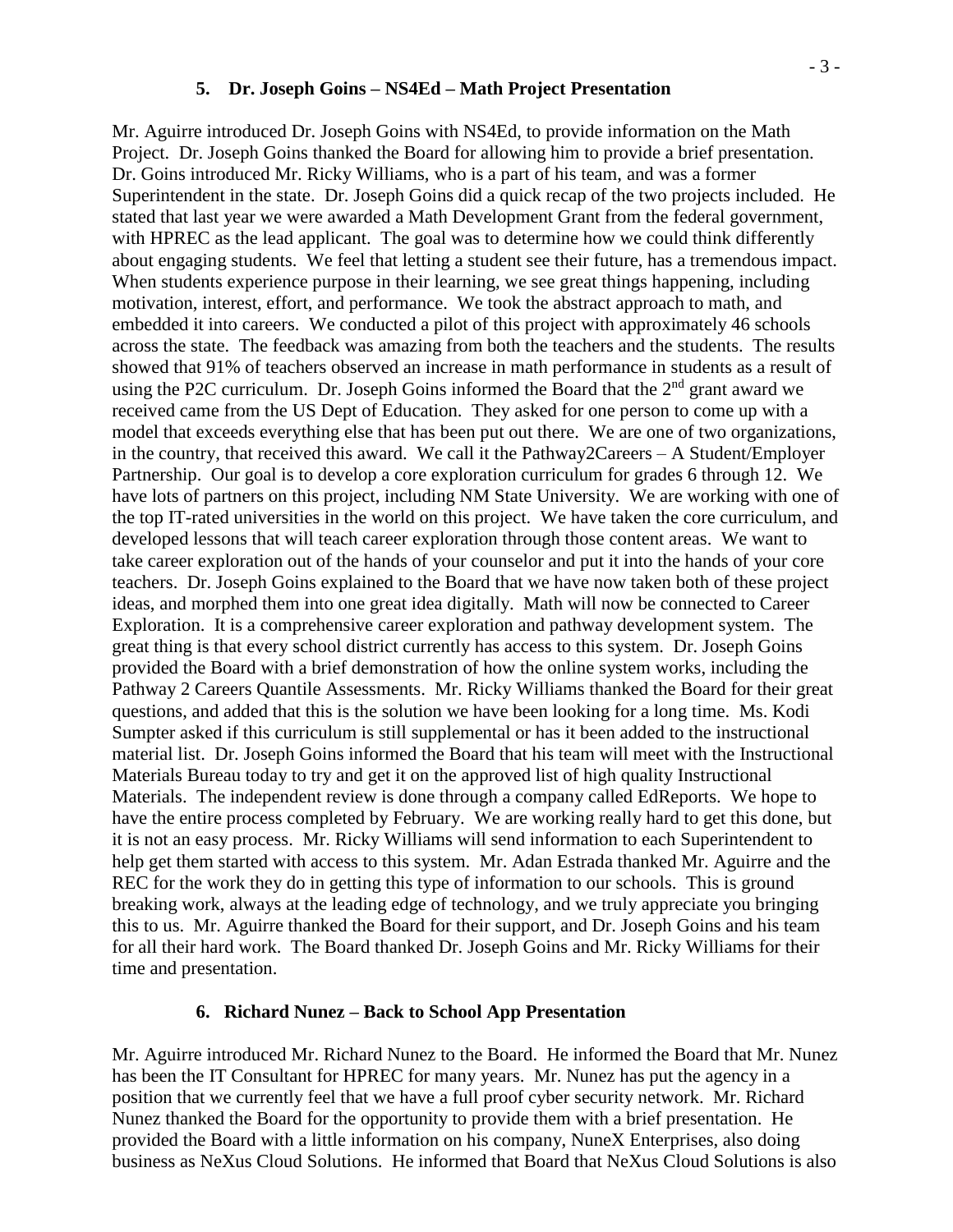#### **5. Dr. Joseph Goins – NS4Ed – Math Project Presentation**

Mr. Aguirre introduced Dr. Joseph Goins with NS4Ed, to provide information on the Math Project. Dr. Joseph Goins thanked the Board for allowing him to provide a brief presentation. Dr. Goins introduced Mr. Ricky Williams, who is a part of his team, and was a former Superintendent in the state. Dr. Joseph Goins did a quick recap of the two projects included. He stated that last year we were awarded a Math Development Grant from the federal government, with HPREC as the lead applicant. The goal was to determine how we could think differently about engaging students. We feel that letting a student see their future, has a tremendous impact. When students experience purpose in their learning, we see great things happening, including motivation, interest, effort, and performance. We took the abstract approach to math, and embedded it into careers. We conducted a pilot of this project with approximately 46 schools across the state. The feedback was amazing from both the teachers and the students. The results showed that 91% of teachers observed an increase in math performance in students as a result of using the P2C curriculum. Dr. Joseph Goins informed the Board that the  $2<sup>nd</sup>$  grant award we received came from the US Dept of Education. They asked for one person to come up with a model that exceeds everything else that has been put out there. We are one of two organizations, in the country, that received this award. We call it the Pathway2Careers – A Student/Employer Partnership. Our goal is to develop a core exploration curriculum for grades 6 through 12. We have lots of partners on this project, including NM State University. We are working with one of the top IT-rated universities in the world on this project. We have taken the core curriculum, and developed lessons that will teach career exploration through those content areas. We want to take career exploration out of the hands of your counselor and put it into the hands of your core teachers. Dr. Joseph Goins explained to the Board that we have now taken both of these project ideas, and morphed them into one great idea digitally. Math will now be connected to Career Exploration. It is a comprehensive career exploration and pathway development system. The great thing is that every school district currently has access to this system. Dr. Joseph Goins provided the Board with a brief demonstration of how the online system works, including the Pathway 2 Careers Quantile Assessments. Mr. Ricky Williams thanked the Board for their great questions, and added that this is the solution we have been looking for a long time. Ms. Kodi Sumpter asked if this curriculum is still supplemental or has it been added to the instructional material list. Dr. Joseph Goins informed the Board that his team will meet with the Instructional Materials Bureau today to try and get it on the approved list of high quality Instructional Materials. The independent review is done through a company called EdReports. We hope to have the entire process completed by February. We are working really hard to get this done, but it is not an easy process. Mr. Ricky Williams will send information to each Superintendent to help get them started with access to this system. Mr. Adan Estrada thanked Mr. Aguirre and the REC for the work they do in getting this type of information to our schools. This is ground breaking work, always at the leading edge of technology, and we truly appreciate you bringing this to us. Mr. Aguirre thanked the Board for their support, and Dr. Joseph Goins and his team for all their hard work. The Board thanked Dr. Joseph Goins and Mr. Ricky Williams for their time and presentation.

#### **6. Richard Nunez – Back to School App Presentation**

Mr. Aguirre introduced Mr. Richard Nunez to the Board. He informed the Board that Mr. Nunez has been the IT Consultant for HPREC for many years. Mr. Nunez has put the agency in a position that we currently feel that we have a full proof cyber security network. Mr. Richard Nunez thanked the Board for the opportunity to provide them with a brief presentation. He provided the Board with a little information on his company, NuneX Enterprises, also doing business as NeXus Cloud Solutions. He informed that Board that NeXus Cloud Solutions is also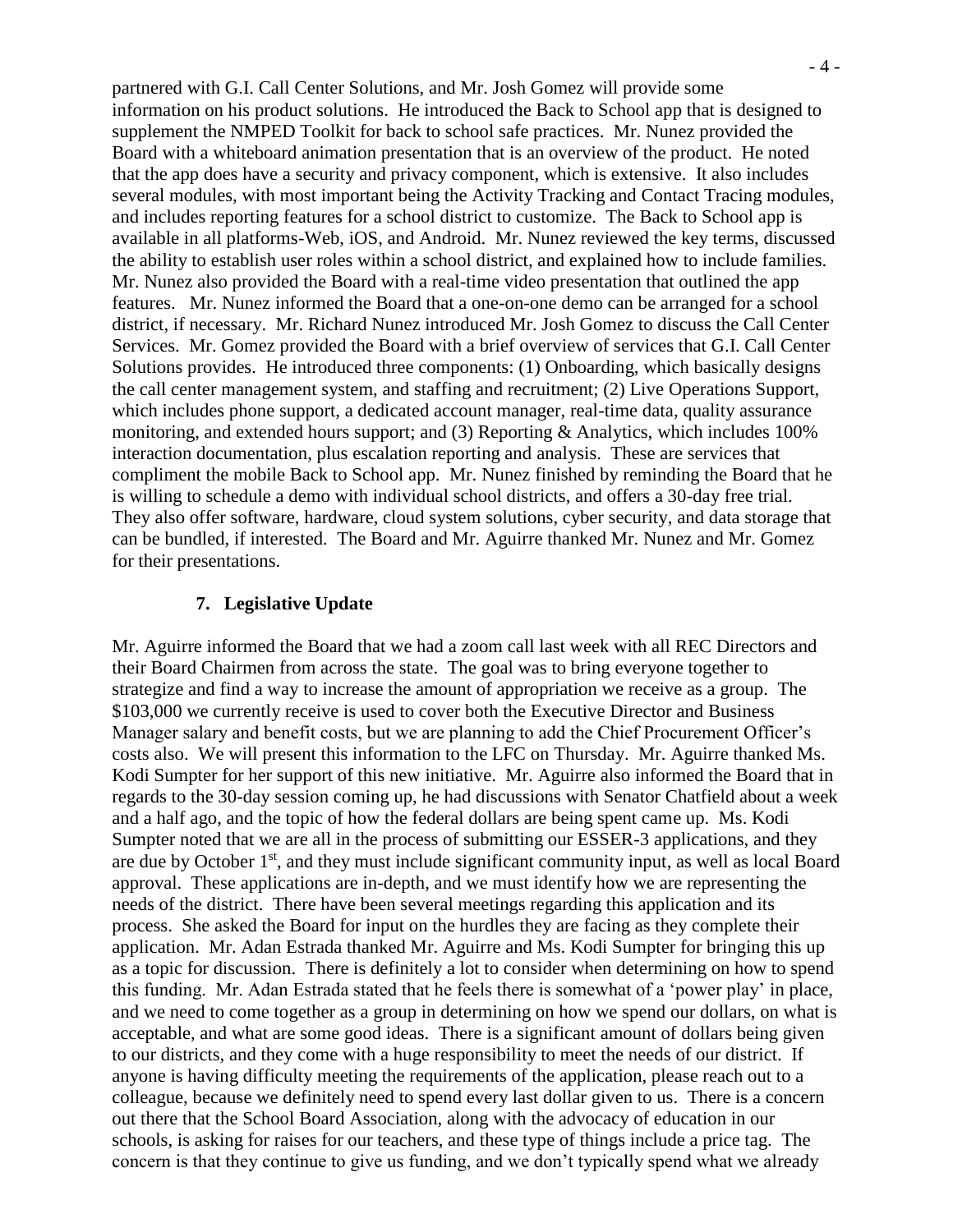partnered with G.I. Call Center Solutions, and Mr. Josh Gomez will provide some information on his product solutions. He introduced the Back to School app that is designed to supplement the NMPED Toolkit for back to school safe practices. Mr. Nunez provided the Board with a whiteboard animation presentation that is an overview of the product. He noted that the app does have a security and privacy component, which is extensive. It also includes several modules, with most important being the Activity Tracking and Contact Tracing modules, and includes reporting features for a school district to customize. The Back to School app is available in all platforms-Web, iOS, and Android. Mr. Nunez reviewed the key terms, discussed the ability to establish user roles within a school district, and explained how to include families. Mr. Nunez also provided the Board with a real-time video presentation that outlined the app features. Mr. Nunez informed the Board that a one-on-one demo can be arranged for a school district, if necessary. Mr. Richard Nunez introduced Mr. Josh Gomez to discuss the Call Center Services. Mr. Gomez provided the Board with a brief overview of services that G.I. Call Center Solutions provides. He introduced three components: (1) Onboarding, which basically designs the call center management system, and staffing and recruitment; (2) Live Operations Support, which includes phone support, a dedicated account manager, real-time data, quality assurance monitoring, and extended hours support; and (3) Reporting & Analytics, which includes 100% interaction documentation, plus escalation reporting and analysis. These are services that compliment the mobile Back to School app. Mr. Nunez finished by reminding the Board that he is willing to schedule a demo with individual school districts, and offers a 30-day free trial. They also offer software, hardware, cloud system solutions, cyber security, and data storage that can be bundled, if interested. The Board and Mr. Aguirre thanked Mr. Nunez and Mr. Gomez for their presentations.

#### **7. Legislative Update**

Mr. Aguirre informed the Board that we had a zoom call last week with all REC Directors and their Board Chairmen from across the state. The goal was to bring everyone together to strategize and find a way to increase the amount of appropriation we receive as a group. The \$103,000 we currently receive is used to cover both the Executive Director and Business Manager salary and benefit costs, but we are planning to add the Chief Procurement Officer's costs also. We will present this information to the LFC on Thursday. Mr. Aguirre thanked Ms. Kodi Sumpter for her support of this new initiative. Mr. Aguirre also informed the Board that in regards to the 30-day session coming up, he had discussions with Senator Chatfield about a week and a half ago, and the topic of how the federal dollars are being spent came up. Ms. Kodi Sumpter noted that we are all in the process of submitting our ESSER-3 applications, and they are due by October 1st, and they must include significant community input, as well as local Board approval. These applications are in-depth, and we must identify how we are representing the needs of the district. There have been several meetings regarding this application and its process. She asked the Board for input on the hurdles they are facing as they complete their application. Mr. Adan Estrada thanked Mr. Aguirre and Ms. Kodi Sumpter for bringing this up as a topic for discussion. There is definitely a lot to consider when determining on how to spend this funding. Mr. Adan Estrada stated that he feels there is somewhat of a 'power play' in place, and we need to come together as a group in determining on how we spend our dollars, on what is acceptable, and what are some good ideas. There is a significant amount of dollars being given to our districts, and they come with a huge responsibility to meet the needs of our district. If anyone is having difficulty meeting the requirements of the application, please reach out to a colleague, because we definitely need to spend every last dollar given to us. There is a concern out there that the School Board Association, along with the advocacy of education in our schools, is asking for raises for our teachers, and these type of things include a price tag. The concern is that they continue to give us funding, and we don't typically spend what we already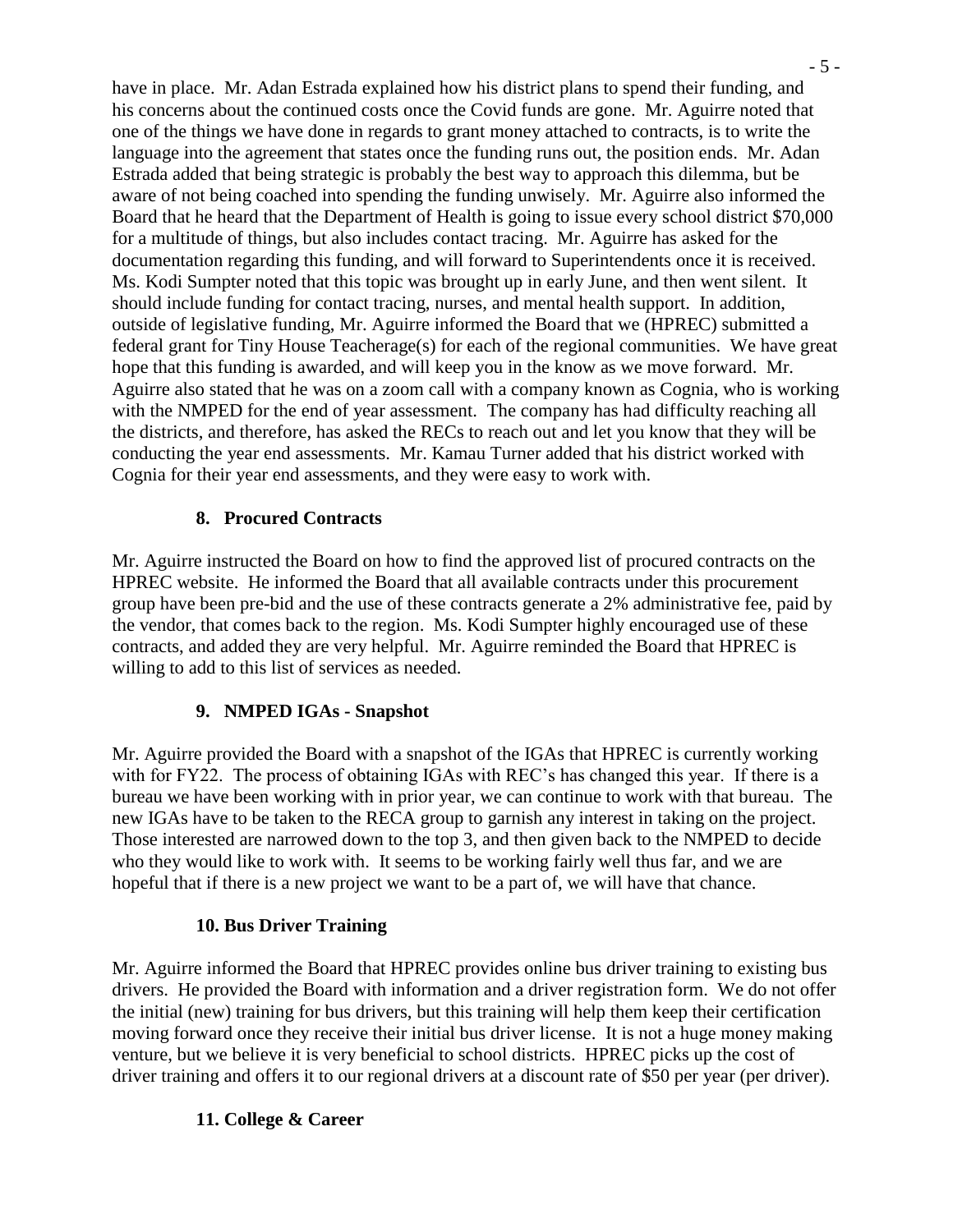have in place. Mr. Adan Estrada explained how his district plans to spend their funding, and his concerns about the continued costs once the Covid funds are gone. Mr. Aguirre noted that one of the things we have done in regards to grant money attached to contracts, is to write the language into the agreement that states once the funding runs out, the position ends. Mr. Adan Estrada added that being strategic is probably the best way to approach this dilemma, but be aware of not being coached into spending the funding unwisely. Mr. Aguirre also informed the Board that he heard that the Department of Health is going to issue every school district \$70,000 for a multitude of things, but also includes contact tracing. Mr. Aguirre has asked for the documentation regarding this funding, and will forward to Superintendents once it is received. Ms. Kodi Sumpter noted that this topic was brought up in early June, and then went silent. It should include funding for contact tracing, nurses, and mental health support. In addition, outside of legislative funding, Mr. Aguirre informed the Board that we (HPREC) submitted a federal grant for Tiny House Teacherage(s) for each of the regional communities. We have great hope that this funding is awarded, and will keep you in the know as we move forward. Mr. Aguirre also stated that he was on a zoom call with a company known as Cognia, who is working with the NMPED for the end of year assessment. The company has had difficulty reaching all the districts, and therefore, has asked the RECs to reach out and let you know that they will be conducting the year end assessments. Mr. Kamau Turner added that his district worked with Cognia for their year end assessments, and they were easy to work with.

### **8. Procured Contracts**

Mr. Aguirre instructed the Board on how to find the approved list of procured contracts on the HPREC website. He informed the Board that all available contracts under this procurement group have been pre-bid and the use of these contracts generate a 2% administrative fee, paid by the vendor, that comes back to the region. Ms. Kodi Sumpter highly encouraged use of these contracts, and added they are very helpful. Mr. Aguirre reminded the Board that HPREC is willing to add to this list of services as needed.

### **9. NMPED IGAs - Snapshot**

Mr. Aguirre provided the Board with a snapshot of the IGAs that HPREC is currently working with for FY22. The process of obtaining IGAs with REC's has changed this year. If there is a bureau we have been working with in prior year, we can continue to work with that bureau. The new IGAs have to be taken to the RECA group to garnish any interest in taking on the project. Those interested are narrowed down to the top 3, and then given back to the NMPED to decide who they would like to work with. It seems to be working fairly well thus far, and we are hopeful that if there is a new project we want to be a part of, we will have that chance.

### **10. Bus Driver Training**

Mr. Aguirre informed the Board that HPREC provides online bus driver training to existing bus drivers. He provided the Board with information and a driver registration form. We do not offer the initial (new) training for bus drivers, but this training will help them keep their certification moving forward once they receive their initial bus driver license. It is not a huge money making venture, but we believe it is very beneficial to school districts. HPREC picks up the cost of driver training and offers it to our regional drivers at a discount rate of \$50 per year (per driver).

## **11. College & Career**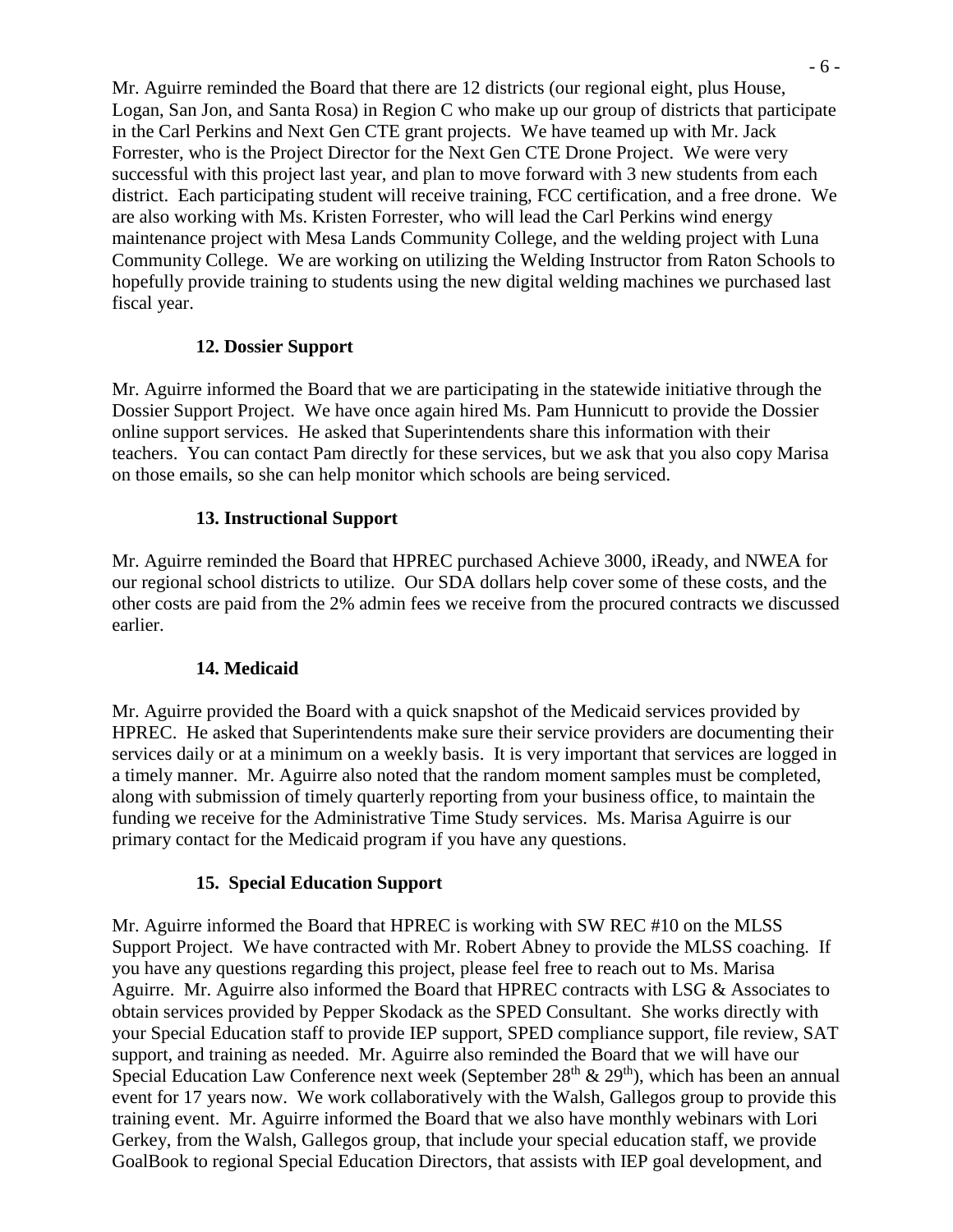Mr. Aguirre reminded the Board that there are 12 districts (our regional eight, plus House, Logan, San Jon, and Santa Rosa) in Region C who make up our group of districts that participate in the Carl Perkins and Next Gen CTE grant projects. We have teamed up with Mr. Jack Forrester, who is the Project Director for the Next Gen CTE Drone Project. We were very successful with this project last year, and plan to move forward with 3 new students from each district. Each participating student will receive training, FCC certification, and a free drone. We are also working with Ms. Kristen Forrester, who will lead the Carl Perkins wind energy maintenance project with Mesa Lands Community College, and the welding project with Luna Community College. We are working on utilizing the Welding Instructor from Raton Schools to hopefully provide training to students using the new digital welding machines we purchased last fiscal year.

### **12. Dossier Support**

Mr. Aguirre informed the Board that we are participating in the statewide initiative through the Dossier Support Project. We have once again hired Ms. Pam Hunnicutt to provide the Dossier online support services. He asked that Superintendents share this information with their teachers. You can contact Pam directly for these services, but we ask that you also copy Marisa on those emails, so she can help monitor which schools are being serviced.

### **13. Instructional Support**

Mr. Aguirre reminded the Board that HPREC purchased Achieve 3000, iReady, and NWEA for our regional school districts to utilize. Our SDA dollars help cover some of these costs, and the other costs are paid from the 2% admin fees we receive from the procured contracts we discussed earlier.

### **14. Medicaid**

Mr. Aguirre provided the Board with a quick snapshot of the Medicaid services provided by HPREC. He asked that Superintendents make sure their service providers are documenting their services daily or at a minimum on a weekly basis. It is very important that services are logged in a timely manner. Mr. Aguirre also noted that the random moment samples must be completed, along with submission of timely quarterly reporting from your business office, to maintain the funding we receive for the Administrative Time Study services. Ms. Marisa Aguirre is our primary contact for the Medicaid program if you have any questions.

### **15. Special Education Support**

Mr. Aguirre informed the Board that HPREC is working with SW REC #10 on the MLSS Support Project. We have contracted with Mr. Robert Abney to provide the MLSS coaching. If you have any questions regarding this project, please feel free to reach out to Ms. Marisa Aguirre. Mr. Aguirre also informed the Board that HPREC contracts with LSG & Associates to obtain services provided by Pepper Skodack as the SPED Consultant. She works directly with your Special Education staff to provide IEP support, SPED compliance support, file review, SAT support, and training as needed. Mr. Aguirre also reminded the Board that we will have our Special Education Law Conference next week (September  $28<sup>th</sup>$  &  $29<sup>th</sup>$ ), which has been an annual event for 17 years now. We work collaboratively with the Walsh, Gallegos group to provide this training event. Mr. Aguirre informed the Board that we also have monthly webinars with Lori Gerkey, from the Walsh, Gallegos group, that include your special education staff, we provide GoalBook to regional Special Education Directors, that assists with IEP goal development, and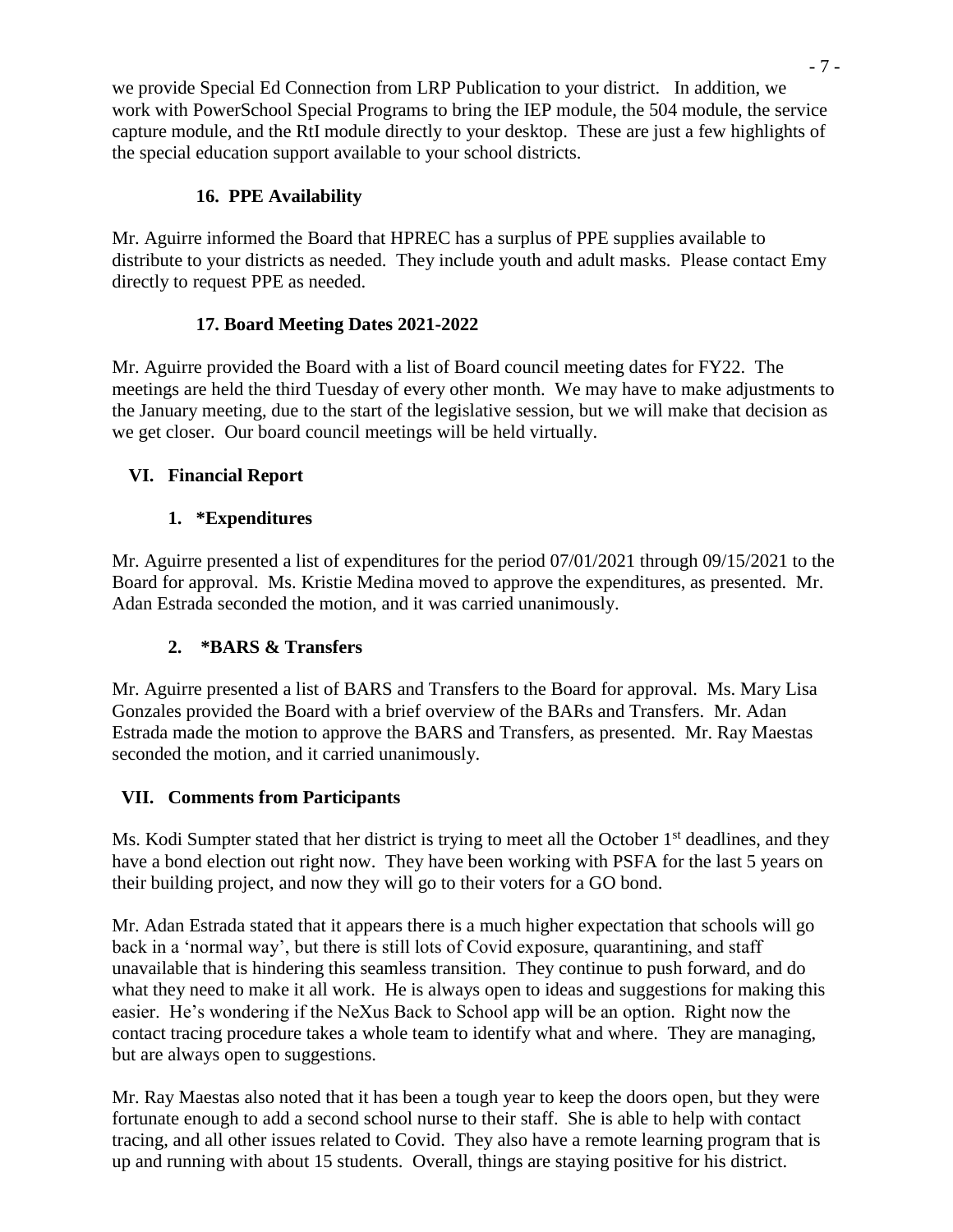we provide Special Ed Connection from LRP Publication to your district. In addition, we work with PowerSchool Special Programs to bring the IEP module, the 504 module, the service capture module, and the RtI module directly to your desktop. These are just a few highlights of the special education support available to your school districts.

## **16. PPE Availability**

Mr. Aguirre informed the Board that HPREC has a surplus of PPE supplies available to distribute to your districts as needed. They include youth and adult masks. Please contact Emy directly to request PPE as needed.

## **17. Board Meeting Dates 2021-2022**

Mr. Aguirre provided the Board with a list of Board council meeting dates for FY22. The meetings are held the third Tuesday of every other month. We may have to make adjustments to the January meeting, due to the start of the legislative session, but we will make that decision as we get closer. Our board council meetings will be held virtually.

## **VI. Financial Report**

# **1. \*Expenditures**

Mr. Aguirre presented a list of expenditures for the period 07/01/2021 through 09/15/2021 to the Board for approval. Ms. Kristie Medina moved to approve the expenditures, as presented. Mr. Adan Estrada seconded the motion, and it was carried unanimously.

# **2. \*BARS & Transfers**

Mr. Aguirre presented a list of BARS and Transfers to the Board for approval. Ms. Mary Lisa Gonzales provided the Board with a brief overview of the BARs and Transfers. Mr. Adan Estrada made the motion to approve the BARS and Transfers, as presented. Mr. Ray Maestas seconded the motion, and it carried unanimously.

## **VII. Comments from Participants**

Ms. Kodi Sumpter stated that her district is trying to meet all the October 1<sup>st</sup> deadlines, and they have a bond election out right now. They have been working with PSFA for the last 5 years on their building project, and now they will go to their voters for a GO bond.

Mr. Adan Estrada stated that it appears there is a much higher expectation that schools will go back in a 'normal way', but there is still lots of Covid exposure, quarantining, and staff unavailable that is hindering this seamless transition. They continue to push forward, and do what they need to make it all work. He is always open to ideas and suggestions for making this easier. He's wondering if the NeXus Back to School app will be an option. Right now the contact tracing procedure takes a whole team to identify what and where. They are managing, but are always open to suggestions.

Mr. Ray Maestas also noted that it has been a tough year to keep the doors open, but they were fortunate enough to add a second school nurse to their staff. She is able to help with contact tracing, and all other issues related to Covid. They also have a remote learning program that is up and running with about 15 students. Overall, things are staying positive for his district.